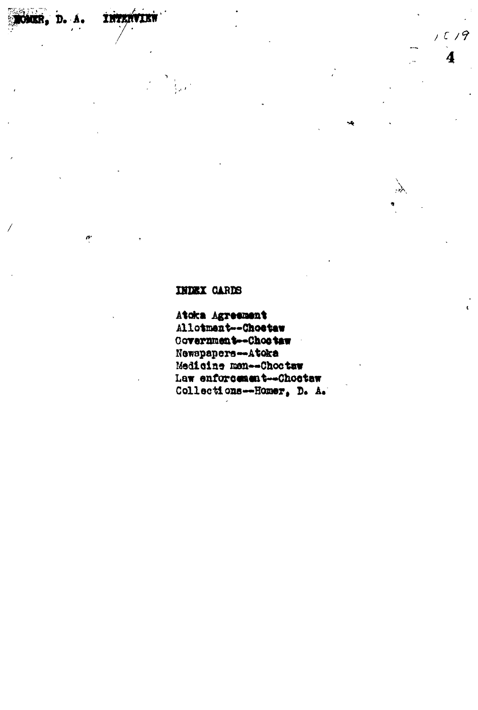INDEX CARDS

**THTENVIE** 

CMIR. D. A.

 $\theta^*$ 

Atoka Agreement Allotment -- Choetaw Covernment-Chootaw Newspapers-Atoka Medicine men -- Choctaw Law enforcement--Chostaw Collections--Homer, D. A.  $1019$ 

 $\overline{\mathbf{4}}$ 

 $\lambda$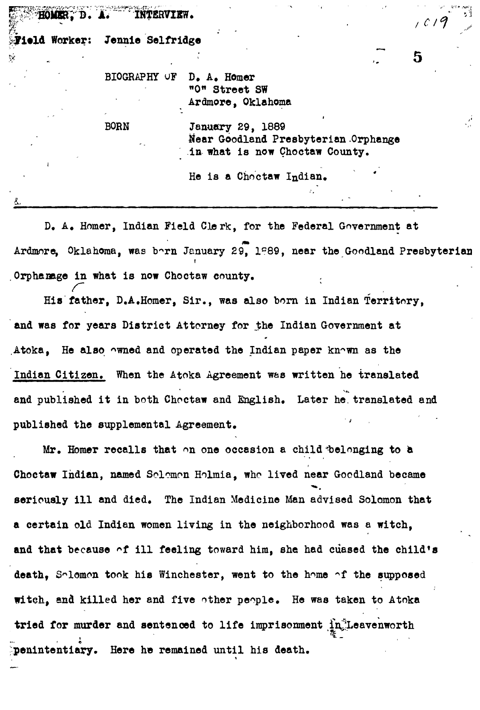|    | Field Worker: | Jennie Selfridge    |                                                                                           |   |
|----|---------------|---------------------|-------------------------------------------------------------------------------------------|---|
|    |               |                     |                                                                                           | 5 |
|    |               | <b>BIOGRAPHY OF</b> | D. A. Homer<br>"O" Street SW<br>Ardmore, Oklahoma                                         |   |
|    |               | <b>BORN</b>         | January 29, 1889<br>Near Goodland Presbyterian Orphange<br>in what is now Choctaw County. |   |
|    |               |                     | He is a Choctaw Indian.                                                                   |   |
| å. |               |                     |                                                                                           |   |

**D. A. Homer, Indian Field Clerk, for the Federal Government at Ardmore, Oklahoma, was b^rn January 29, 1<sup>D</sup>89, near the Goodland Presbyterian Orphanage in what is now Choctaw county.**

His father, D.A.Homer, Sir., was also born in Indian Territory, **His father, D.A.Homer, Sir., was also born in Indian Territory,** and was for years District Atterney for the Indian Government at **and was for years District Attorney for .the Indian Government at** Atoka, He also owned and operated the Indian paper known as the **Atoka, He also ^wned and operated the Indian paper kn^wn as the** Indian Citizen. When the Atoka Agreement was written he translated **Indian Citizen. When the Atoka Agreement was written he translated** and published it in both Choctaw and English. Later he translated and **and published it in both Choctaw and English. Later he. translated and** published the supplemental Agreement.

**published the supplemental Agreement. '**

Mr. Homer recalls that on one occasion a child belonging to a **Mr. Homer recalls that on one occasion a child iaelonging to a** Choctaw Indian, named Solomon Holmia, who lived near Goodland became **Choctaw Indian, named Solomon Holmia, who lived near Goodland became** seriously ill and died. The Indian Medicine Man advised Solomon that a certain old Indian women living in the neighborhood was a witch, **a certain old Indian women living in the neighborhood was a witch,** and that because of ill feeling toward him, she had cuased the child's **and that because \*f ill feeling toward him, she had cuased the child's** death, Solomon took his Winchester, went to the home of the supposed death, Salomon took his Winchester, went took his Winchester, went to the support to the support of the support  $\mathcal{S}_{\mathcal{A}}$ witch, and killed her and five other people. He was taken to Atoka **witch, and killed her and five other people. He was taken to Atoka** tried for murder and sentenced to life imprisonment  $\prod_{n=1}^{\infty}$  Leavenworth **penintentiary. Here he remained until his death.**